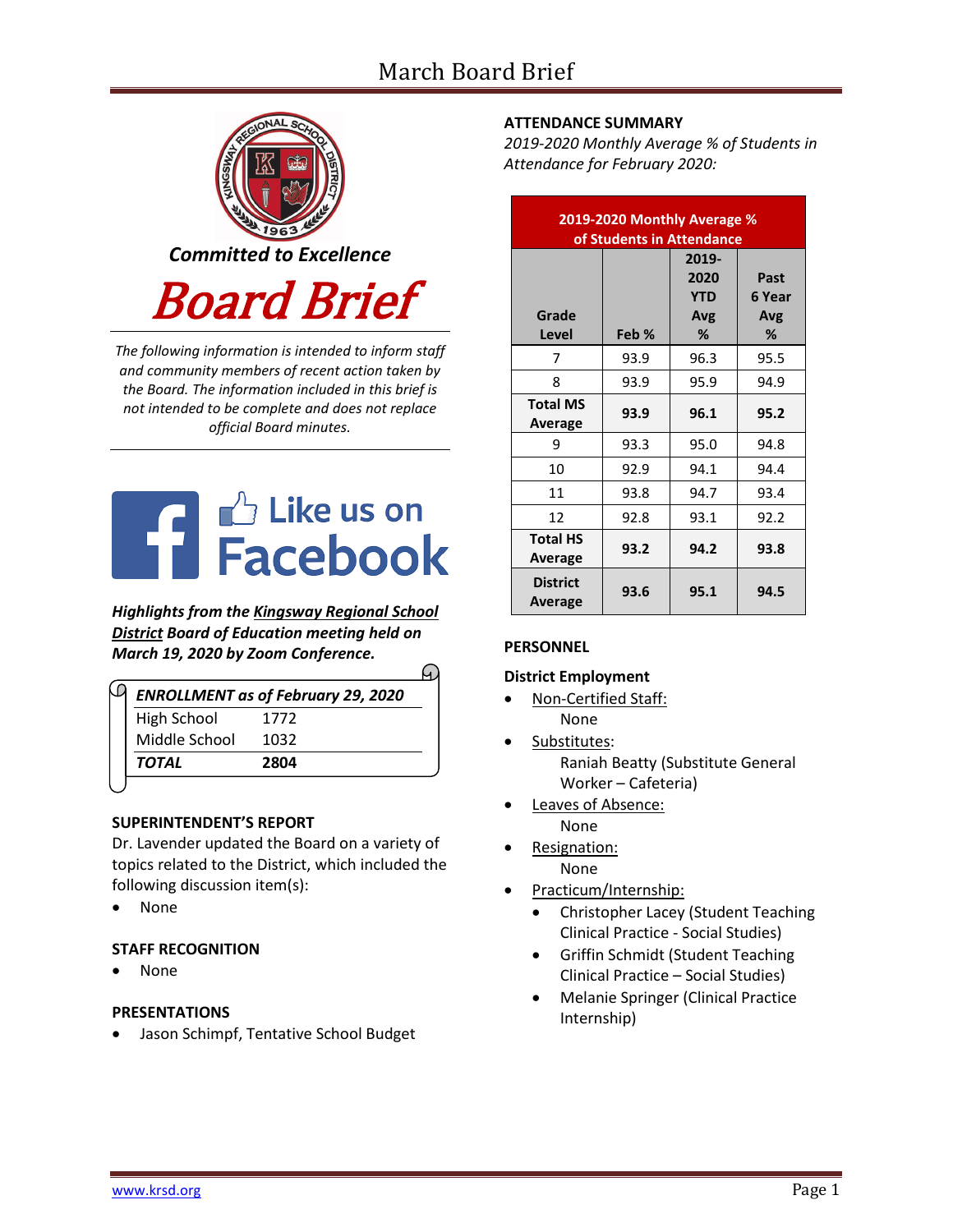# March Board Brief



*The following information is intended to inform staff and community members of recent action taken by the Board. The information included in this brief is not intended to be complete and does not replace official Board minutes.*



*Highlights from the [Kingsway Regional School](https://www.facebook.com/KingswayDragons)  [District](https://www.facebook.com/KingswayDragons) Board of Education meeting held on March 19, 2020 by Zoom Conference.*

|                    | <b>ENROLLMENT as of February 29, 2020</b> |
|--------------------|-------------------------------------------|
| <b>High School</b> | 1772                                      |
| Middle School      | 1032                                      |
| <b>TOTAL</b>       | 2804                                      |

# **SUPERINTENDENT'S REPORT**

Dr. Lavender updated the Board on a variety of topics related to the District, which included the following discussion item(s):

• None

# **STAFF RECOGNITION**

• None

# **PRESENTATIONS**

• Jason Schimpf, Tentative School Budget

# **ATTENDANCE SUMMARY**

*2019-2020 Monthly Average % of Students in Attendance for February 2020:*

| 2019-2020 Monthly Average %<br>of Students in Attendance |       |                                         |                            |  |
|----------------------------------------------------------|-------|-----------------------------------------|----------------------------|--|
| Grade<br>Level                                           | Feb % | 2019-<br>2020<br><b>YTD</b><br>Avg<br>% | Past<br>6 Year<br>Avg<br>℅ |  |
| 7                                                        | 93.9  | 96.3                                    | 95.5                       |  |
| 8                                                        | 93.9  | 95.9                                    | 94.9                       |  |
| <b>Total MS</b><br>Average                               | 93.9  | 96.1                                    | 95.2                       |  |
| 9                                                        | 93.3  | 95.0                                    | 94.8                       |  |
| 10                                                       | 92.9  | 94.1                                    | 94.4                       |  |
| 11                                                       | 93.8  | 94.7                                    | 93.4                       |  |
| 12                                                       | 92.8  | 93.1                                    | 92.2                       |  |
| <b>Total HS</b><br>Average                               | 93.2  | 94.2                                    | 93.8                       |  |
| <b>District</b><br>Average                               | 93.6  | 95.1                                    | 94.5                       |  |

#### **PERSONNEL**

#### **District Employment**

- Non-Certified Staff: None
	- Substitutes: Raniah Beatty (Substitute General Worker – Cafeteria)
- Leaves of Absence: None
- Resignation: None
- Practicum/Internship:
	- Christopher Lacey (Student Teaching Clinical Practice - Social Studies)
	- Griffin Schmidt (Student Teaching Clinical Practice – Social Studies)
	- Melanie Springer (Clinical Practice Internship)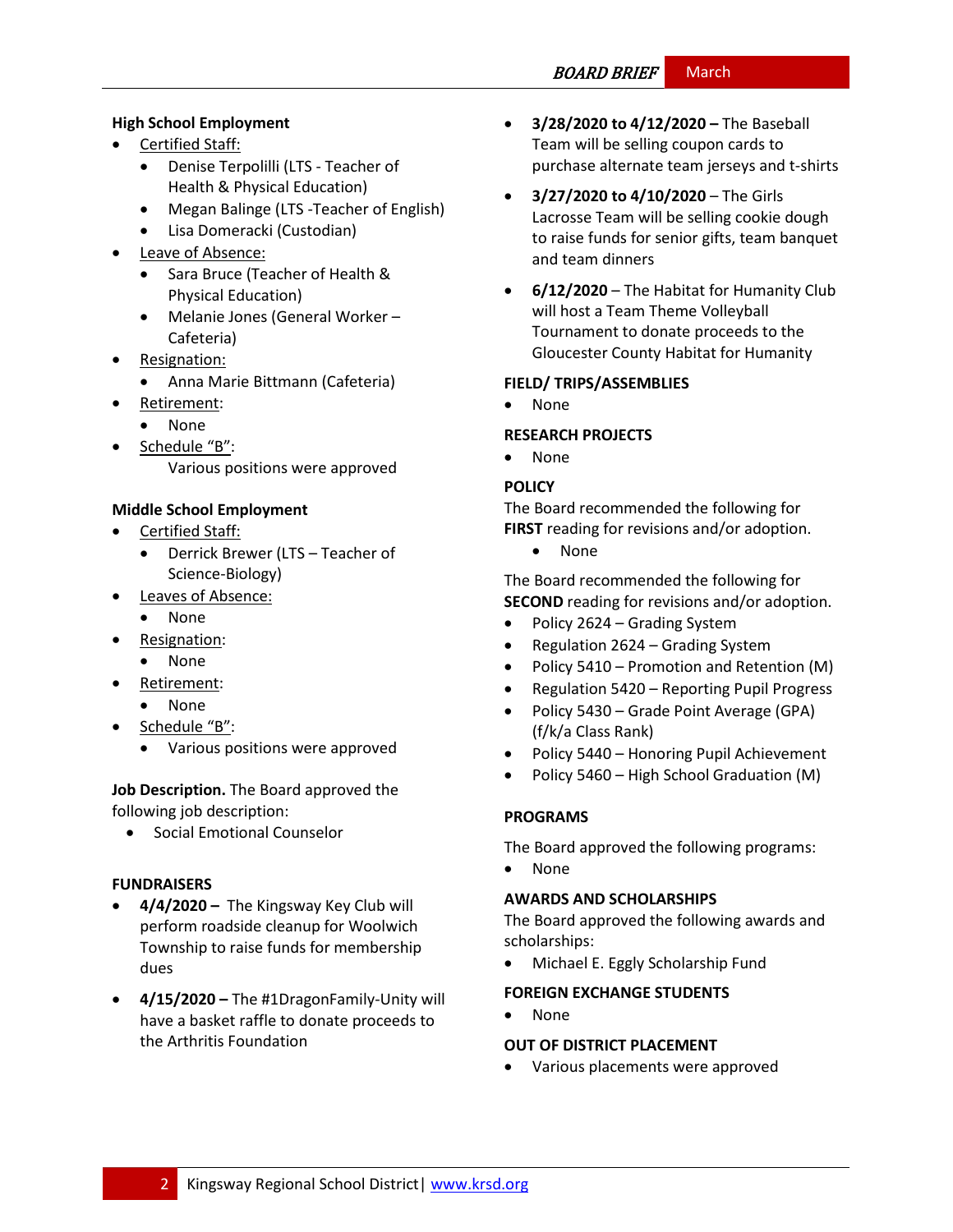# **High School Employment**

- Certified Staff:
	- Denise Terpolilli (LTS Teacher of Health & Physical Education)
	- Megan Balinge (LTS -Teacher of English)
	- Lisa Domeracki (Custodian)
- Leave of Absence:
	- Sara Bruce (Teacher of Health & Physical Education)
	- Melanie Jones (General Worker Cafeteria)
- **Resignation:** 
	- Anna Marie Bittmann (Cafeteria)
	- Retirement:
		- None
- Schedule "B": Various positions were approved

# **Middle School Employment**

- Certified Staff:
	- Derrick Brewer (LTS Teacher of Science-Biology)
- <u>Leaves of Absence:</u>
	- None
- Resignation:
	- None
- Retirement:
	- None
- Schedule "B":
	- Various positions were approved

**Job Description.** The Board approved the following job description:

• Social Emotional Counselor

# **FUNDRAISERS**

- **4/4/2020 –** The Kingsway Key Club will perform roadside cleanup for Woolwich Township to raise funds for membership dues
- **4/15/2020 –** The #1DragonFamily-Unity will have a basket raffle to donate proceeds to the Arthritis Foundation
- **3/28/2020 to 4/12/2020 –** The Baseball Team will be selling coupon cards to purchase alternate team jerseys and t-shirts
- **3/27/2020 to 4/10/2020** The Girls Lacrosse Team will be selling cookie dough to raise funds for senior gifts, team banquet and team dinners
- **6/12/2020** The Habitat for Humanity Club will host a Team Theme Volleyball Tournament to donate proceeds to the Gloucester County Habitat for Humanity

# **FIELD/ TRIPS/ASSEMBLIES**

• None

# **RESEARCH PROJECTS**

• None

# **[POLICY](http://www.straussesmay.com/seportal/Public/DistrictPolicyTOC.aspx?id=f0cc945ef3894b8d9ad5f87d948ca425&PolicyID=)**

The Board recommended the following for **FIRST** reading for revisions and/or adoption.

• None

The Board recommended the following for **SECOND** reading for revisions and/or adoption.

- Policy 2624 Grading System
- Regulation 2624 Grading System
- Policy 5410 Promotion and Retention (M)
- Regulation 5420 Reporting Pupil Progress
- Policy 5430 Grade Point Average (GPA) (f/k/a Class Rank)
- Policy 5440 Honoring Pupil Achievement
- Policy 5460 High School Graduation (M)

# **PROGRAMS**

The Board approved the following programs:

• None

# **AWARDS AND SCHOLARSHIPS**

The Board approved the following awards and scholarships:

• Michael E. Eggly Scholarship Fund

# **FOREIGN EXCHANGE STUDENTS**

• None

#### **OUT OF DISTRICT PLACEMENT**

• Various placements were approved